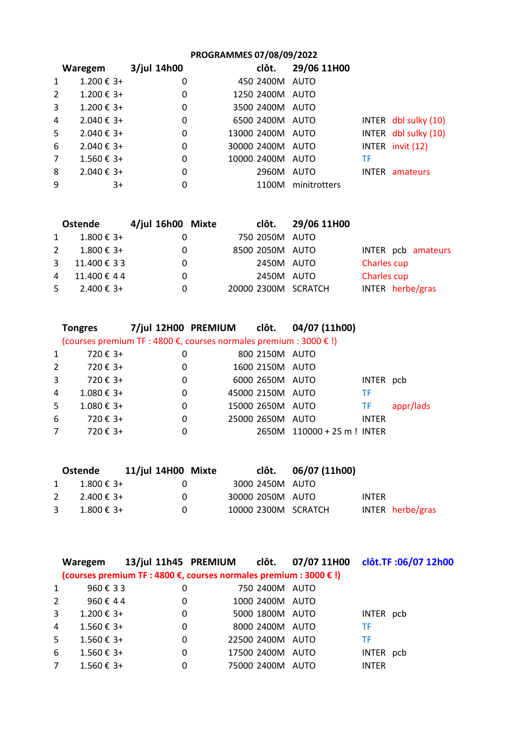## **PROGRAMMES 07/08/09/2022**

|                 | Waregem                 | 3/jul 14h00 | clôt.            | 29/06 11H00  |    |                       |
|-----------------|-------------------------|-------------|------------------|--------------|----|-----------------------|
| 1               | $1.200 \text{€ } 3+$    | 0           | 450 2400M AUTO   |              |    |                       |
| $\overline{2}$  | $1.200 \text{ } \in 3+$ | 0           | 1250 2400M AUTO  |              |    |                       |
| 3               | $1.200 \text{ } \in 3+$ | 0           | 3500 2400M AUTO  |              |    |                       |
| 4               | $2.040 \text{ } \in 3+$ | 0           | 6500 2400M AUTO  |              |    | INTER dbl sulky (10)  |
| 5               | $2.040 € 3+$            | 0           | 13000 2400M AUTO |              |    | INTER dbl sulky (10)  |
| 6               | $2.040 \text{ } \in 3+$ | 0           | 30000 2400M AUTO |              |    | INTER invit (12)      |
| $7\overline{ }$ | $1.560 \text{ } \in 3+$ | 0           | 10000 2400M AUTO |              | TF |                       |
| 8               | $2.040€3+$              | 0           | 2960M AUTO       |              |    | <b>INTER</b> amateurs |
| 9               | $3+$                    | 0           | 1100M            | minitrotters |    |                       |

|                | Ostende                 | 4/jul 16h00 Mixte | clôt.               | <b>29/06 11H00</b> |                    |
|----------------|-------------------------|-------------------|---------------------|--------------------|--------------------|
| $\mathbf{1}$   | $1.800 \text{ } \in 3+$ | 0                 | 750 2050M AUTO      |                    |                    |
| $2^{\circ}$    | $1.800 \text{ } \in 3+$ | 0                 | 8500 2050M AUTO     |                    | INTER pcb amateurs |
| 3 <sup>7</sup> | 11.400 € 33             | 0                 | 2450M AUTO          |                    | Charles cup        |
| $\overline{4}$ | 11.400 € 44             | 0                 | 2450M AUTO          |                    | Charles cup        |
| 5 <sup>1</sup> | $2.400 \text{ } \in 3+$ | 0                 | 20000 2300M SCRATCH |                    | INTER herbe/gras   |

|                | <b>Tongres</b>                                                     | 7/jul 12H00 PREMIUM clôt. |  |                  | 04/07 (11h00)               |              |           |
|----------------|--------------------------------------------------------------------|---------------------------|--|------------------|-----------------------------|--------------|-----------|
|                | (courses premium TF : 4800 €, courses normales premium : 3000 € !) |                           |  |                  |                             |              |           |
| $\mathbf{1}$   | 720€3+                                                             | 0                         |  | 800 2150M AUTO   |                             |              |           |
| $2^{\circ}$    | 720€3+                                                             | 0                         |  | 1600 2150M AUTO  |                             |              |           |
| 3              | 720€ 3+                                                            | 0                         |  | 6000 2650M AUTO  |                             | INTER pcb    |           |
| 4              | $1.080 \t{€} 3+$                                                   | 0                         |  | 45000 2150M AUTO |                             | TF           |           |
| 5              | $1.080 \t{€} 3+$                                                   | 0                         |  | 15000 2650M AUTO |                             | <b>TF</b>    | appr/lads |
| 6              | 720€3+                                                             | 0                         |  | 25000 2650M AUTO |                             | <b>INTER</b> |           |
| $\overline{7}$ | 720€ 3+                                                            | 0                         |  |                  | 2650M 110000 + 25 m ! INTER |              |           |

|              |                           | Ostende 11/jul 14H00 Mixte             |                     | clôt. 06/07 (11h00) |              |                  |
|--------------|---------------------------|----------------------------------------|---------------------|---------------------|--------------|------------------|
| $\mathbf{1}$ | 1.800 € 3+                | $\begin{array}{ccc} & & 0 \end{array}$ | 3000 2450M AUTO     |                     |              |                  |
|              | 2 2.400 $\epsilon$ 3+     | -0                                     | 30000 2050M AUTO    |                     | <b>INTFR</b> |                  |
|              | 3 $1.800 \text{ } \in 3+$ | $\Omega$                               | 10000 2300M SCRATCH |                     |              | INTER herbe/gras |

|                | Waregem                 |                                                                    |                  | 13/jul 11h45 PREMIUM clôt. 07/07 11H00 clôt.TF:06/07 12h00 |
|----------------|-------------------------|--------------------------------------------------------------------|------------------|------------------------------------------------------------|
|                |                         | (courses premium TF : 4800 €, courses normales premium : 3000 € !) |                  |                                                            |
| 1              | 960 € 33                | 0                                                                  | 750 2400M AUTO   |                                                            |
| $2^{\circ}$    | 960€44                  | 0                                                                  | 1000 2400M AUTO  |                                                            |
| $\mathbf{3}$   | $1.200 \text{ } \in 3+$ | $\Omega$                                                           | 5000 1800M AUTO  | INTER pcb                                                  |
| $\overline{4}$ | $1.560 \text{ } \in 3+$ | 0                                                                  | 8000 2400M AUTO  | TF                                                         |
| 5.             | $1.560 \text{ } \in 3+$ | 0                                                                  | 22500 2400M AUTO | ΤF                                                         |
| 6              | $1.560 \text{ } \in 3+$ | 0                                                                  | 17500 2400M AUTO | INTER pcb                                                  |
| $\overline{7}$ | $1.560 € 3+$            | 0                                                                  | 75000 2400M AUTO | <b>INTER</b>                                               |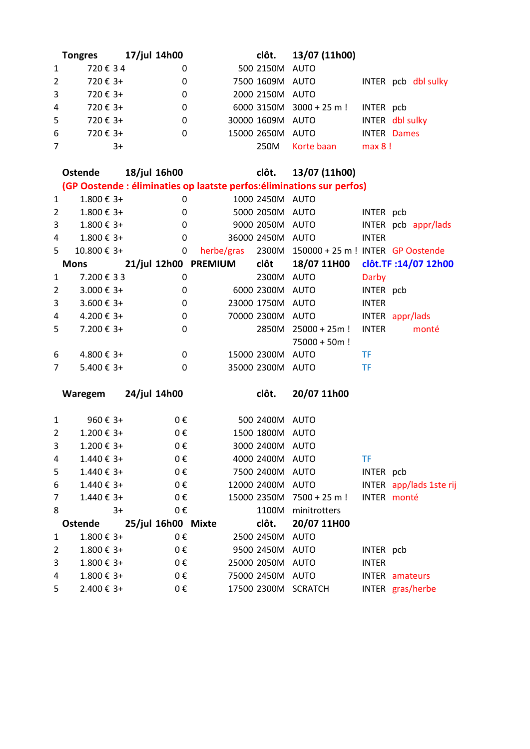|                | <b>Tongres</b>                     | 17/jul 14h00          | clôt.            | 13/07 (11h00)                                                          |              |                                           |
|----------------|------------------------------------|-----------------------|------------------|------------------------------------------------------------------------|--------------|-------------------------------------------|
| $\mathbf{1}$   | 720€34                             | 0                     | 500 2150M AUTO   |                                                                        |              |                                           |
| 2              | 720€ 3+                            | 0                     | 7500 1609M AUTO  |                                                                        |              | INTER pcb dbl sulky                       |
| 3              | 720€ 3+                            | 0                     | 2000 2150M AUTO  |                                                                        |              |                                           |
| 4              | 720€ 3+                            | 0                     |                  | 6000 3150M $3000 + 25$ m!                                              | INTER pcb    |                                           |
| 5              | 720€ 3+                            | 0                     | 30000 1609M AUTO |                                                                        |              | INTER dbl sulky                           |
| 6              | 720€ 3+                            | 0                     | 15000 2650M AUTO |                                                                        |              | <b>INTER Dames</b>                        |
| 7              | $3+$                               |                       | 250M             | Korte baan                                                             | max 8!       |                                           |
|                | Ostende                            | 18/jul 16h00          | clôt.            | 13/07 (11h00)                                                          |              |                                           |
|                |                                    |                       |                  | (GP Oostende : éliminaties op laatste perfos: éliminations sur perfos) |              |                                           |
| 1              | 1.800 € 3+                         | 0                     | 1000 2450M AUTO  |                                                                        |              |                                           |
| 2              | 1.800 € 3+                         | $\mathbf 0$           | 5000 2050M AUTO  |                                                                        | INTER pcb    |                                           |
| 3              | 1.800 € 3+                         | $\mathbf 0$           | 9000 2050M AUTO  |                                                                        |              | INTER pcb appr/lads                       |
| 4              | $1.800 \text{€ } 3+$               | 0                     | 36000 2450M AUTO |                                                                        | <b>INTER</b> |                                           |
| 5              | 10.800 € 3+                        | $\boldsymbol{0}$      |                  | herbe/gras 2300M 150000 + 25 m ! INTER GP Oostende                     |              |                                           |
|                | <b>Mons</b>                        | 21/jul 12h00 PREMIUM  | clôt             | 18/07 11H00                                                            |              | clôt.TF: 14/07 12h00                      |
| 1              | 7.200 € 33                         | $\mathbf 0$           | 2300M AUTO       |                                                                        | Darby        |                                           |
| $\overline{2}$ | $3.000 \text{€ } 3+$               | $\mathbf 0$           | 6000 2300M AUTO  |                                                                        | INTER pcb    |                                           |
| 3              | $3.600 \text{ } \in 3+$            | $\mathbf 0$           | 23000 1750M AUTO |                                                                        | <b>INTER</b> |                                           |
| 4              | 4.200 € 3+                         | 0                     | 70000 2300M AUTO |                                                                        |              | INTER appr/lads                           |
| 5              | 7.200 € 3+                         | 0                     |                  | 2850M 25000 + 25m !                                                    | <b>INTER</b> | monté                                     |
|                |                                    |                       |                  | $75000 + 50m!$                                                         |              |                                           |
| 6              | 4.800 € 3+                         | 0                     | 15000 2300M AUTO |                                                                        | <b>TF</b>    |                                           |
| $\overline{7}$ | 5.400 € 3+                         | 0                     | 35000 2300M AUTO |                                                                        | <b>TF</b>    |                                           |
|                | Waregem 24/jul 14h00               |                       | clôt.            | 20/07 11h00                                                            |              |                                           |
|                |                                    |                       |                  |                                                                        |              |                                           |
| $\mathbf{1}$   | 960€ 3+                            | 0€                    | 500 2400M AUTO   |                                                                        |              |                                           |
| $\overline{2}$ | 1.200 € 3+                         | 0€                    | 1500 1800M AUTO  |                                                                        |              |                                           |
| $\overline{3}$ | 1.200 € 3+                         | 0€                    | 3000 2400M AUTO  |                                                                        |              |                                           |
| 4              | $1.440 \t{£} 3+$                   | 0€                    | 4000 2400M AUTO  |                                                                        | TF.          |                                           |
| 5              | $1.440 \t{£} 3+$                   | 0€                    | 7500 2400M AUTO  |                                                                        | INTER pcb    |                                           |
| 6              | 1.440 € 3+                         | 0€                    | 12000 2400M AUTO |                                                                        |              | INTER app/lads 1ste rij                   |
| 7              | $1.440 \t{£} 3+$                   | 0€                    |                  | 15000 2350M 7500 + 25 m !                                              |              | INTER monté                               |
| 8              | $3+$                               | 0€                    |                  | 1100M minitrotters                                                     |              |                                           |
|                | Ostende                            | 25/jul 16h00 Mixte    | clôt.            | 20/07 11H00                                                            |              |                                           |
| $\mathbf{1}$   | 1.800 € 3+                         | 0€                    | 2500 2450M AUTO  |                                                                        |              |                                           |
| 2              | 1.800 € 3+                         | 0€                    | 9500 2450M AUTO  |                                                                        | INTER pcb    |                                           |
| 3              |                                    |                       |                  |                                                                        |              |                                           |
|                | 1.800 € 3+                         | 0€                    | 25000 2050M AUTO |                                                                        | <b>INTER</b> |                                           |
| 4              | $1.800 \text{€ } 3+$<br>2.400 € 3+ | $0\;\mathbb{C}$<br>0€ | 75000 2450M AUTO | 17500 2300M SCRATCH                                                    |              | <b>INTER</b> amateurs<br>INTER gras/herbe |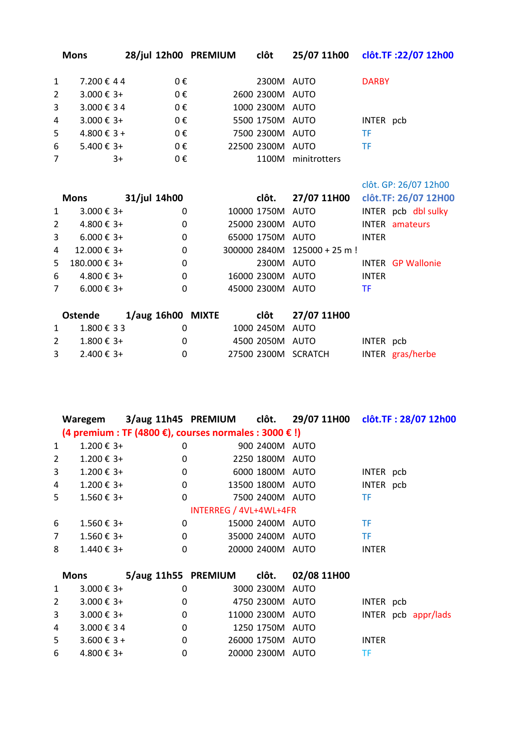|                | <b>Mons</b>             | 28/jul 12h00 PREMIUM | clôt             | 25/07 11h00                  | clôt.TF: 22/07 12h00     |
|----------------|-------------------------|----------------------|------------------|------------------------------|--------------------------|
| $\mathbf{1}$   | 7.200€44                | 0€                   | 2300M AUTO       |                              | <b>DARBY</b>             |
| $\overline{2}$ | $3.000 \text{ } \in 3+$ | 0€                   | 2600 2300M AUTO  |                              |                          |
| 3              | 3.000 € 34              | 0€                   | 1000 2300M AUTO  |                              |                          |
| 4              | $3.000 \text{ € } 3+$   | 0€                   | 5500 1750M AUTO  |                              | INTER pcb                |
| 5              | $4.800 \text{€ } 3 +$   | 0€                   | 7500 2300M AUTO  |                              | TF.                      |
| 6              | $5.400 \text{€ } 3+$    | $0 \in$              | 22500 2300M AUTO |                              | <b>TF</b>                |
| 7              | $3+$                    | 0€                   |                  | 1100M minitrotters           |                          |
|                |                         |                      |                  |                              |                          |
|                |                         |                      |                  |                              | clôt. GP: 26/07 12h00    |
|                | Mons                    | 31/jul 14h00         | clôt.            | 27/07 11H00                  | clôt.TF: 26/07 12H00     |
| 1              | $3.000 \text{ € } 3+$   | 0                    | 10000 1750M      | AUTO                         | INTER pcb dbl sulky      |
| $\overline{2}$ | 4.800 € 3+              | $\pmb{0}$            | 25000 2300M AUTO |                              | <b>INTER</b> amateurs    |
| 3              | $6.000 \text{ } \in 3+$ | $\mathbf 0$          | 65000 1750M AUTO |                              | <b>INTER</b>             |
| 4              | 12.000 € 3+             | $\pmb{0}$            |                  | 300000 2840M 125000 + 25 m ! |                          |
| 5              | 180.000 € 3+            | $\mathbf 0$          | 2300M AUTO       |                              | <b>INTER GP Wallonie</b> |
| 6              | 4.800 € 3+              | $\pmb{0}$            | 16000 2300M AUTO |                              | <b>INTER</b>             |
| $\overline{7}$ | $6.000 \text{ } \in 3+$ | $\mathbf 0$          | 45000 2300M AUTO |                              | TF                       |

|                                    | Ostende 1/aug 16h00 MIXTE |              |                 | clôt 27/07 11H00    |           |                  |
|------------------------------------|---------------------------|--------------|-----------------|---------------------|-----------|------------------|
| 1 $1.800 \text{ } \in 33$          |                           | $\mathbf{0}$ | 1000 2450M AUTO |                     |           |                  |
| 2 $1.800 \text{ } \in \text{ } 3+$ | 0                         |              | 4500 2050M AUTO |                     | INTER pcb |                  |
| 3 2.400 $\epsilon$ 3+              | $\Omega$                  |              |                 | 27500 2300M SCRATCH |           | INTER gras/herbe |

|                |                          |                                                        |                                       |                  | Waregem 3/aug 11h45 PREMIUM clôt. 29/07 11H00 clôt.TF: 28/07 12h00 |              |                     |
|----------------|--------------------------|--------------------------------------------------------|---------------------------------------|------------------|--------------------------------------------------------------------|--------------|---------------------|
|                |                          | (4 premium : TF (4800 €), courses normales : 3000 € !) |                                       |                  |                                                                    |              |                     |
| 1              | $1.200 \text{ } \in 3+$  | 0                                                      |                                       | 900 2400M AUTO   |                                                                    |              |                     |
| $\overline{2}$ | $1.200 \text{ } \in 3+$  | 0                                                      |                                       | 2250 1800M AUTO  |                                                                    |              |                     |
| 3              | $1.200 \text{ } \in 3+$  | $\mathbf 0$                                            |                                       | 6000 1800M AUTO  |                                                                    | INTER pcb    |                     |
| $\overline{4}$ | $1.200 \text{ } \in 3+$  | $\mathbf 0$                                            |                                       | 13500 1800M AUTO |                                                                    | INTER pcb    |                     |
| 5              | $1.560 \text{ } \in 3+$  | $\mathbf 0$                                            |                                       | 7500 2400M AUTO  |                                                                    | TF.          |                     |
|                |                          |                                                        | INTERREG / 4VL+4WL+4FR                |                  |                                                                    |              |                     |
| 6              | $1.560 \text{ } \in 3+$  | 0                                                      |                                       | 15000 2400M AUTO |                                                                    | <b>TF</b>    |                     |
| 7 <sup>7</sup> | $1.560 \text{ } \in 3+$  | 0                                                      |                                       | 35000 2400M AUTO |                                                                    | <b>TF</b>    |                     |
| 8              | $1.440 € 3+$             | $\Omega$                                               |                                       | 20000 2400M AUTO |                                                                    | <b>INTER</b> |                     |
|                |                          |                                                        |                                       |                  |                                                                    |              |                     |
|                | Mons                     |                                                        | 5/aug 11h55 PREMIUM clôt. 02/08 11H00 |                  |                                                                    |              |                     |
| $1 \quad$      | $3.000 \text{ } \in 3+$  | 0                                                      |                                       | 3000 2300M AUTO  |                                                                    |              |                     |
| $\overline{2}$ | $3.000 \text{ } \in 3+$  | $\mathbf 0$                                            |                                       | 4750 2300M AUTO  |                                                                    | INTER pcb    |                     |
| 3              | $3.000 \text{ } \in 3+$  | $\mathbf 0$                                            |                                       | 11000 2300M AUTO |                                                                    |              | INTER pcb appr/lads |
| 4              | $3.000 \text{ € } 34$    | 0                                                      |                                       | 1250 1750M AUTO  |                                                                    |              |                     |
| 5              | $3.600 \text{ } \in 3 +$ | $\pmb{0}$                                              |                                       | 26000 1750M AUTO |                                                                    | <b>INTER</b> |                     |
| 6              | $4.800 \text{€ } 3+$     | $\boldsymbol{0}$                                       |                                       | 20000 2300M AUTO |                                                                    | TF.          |                     |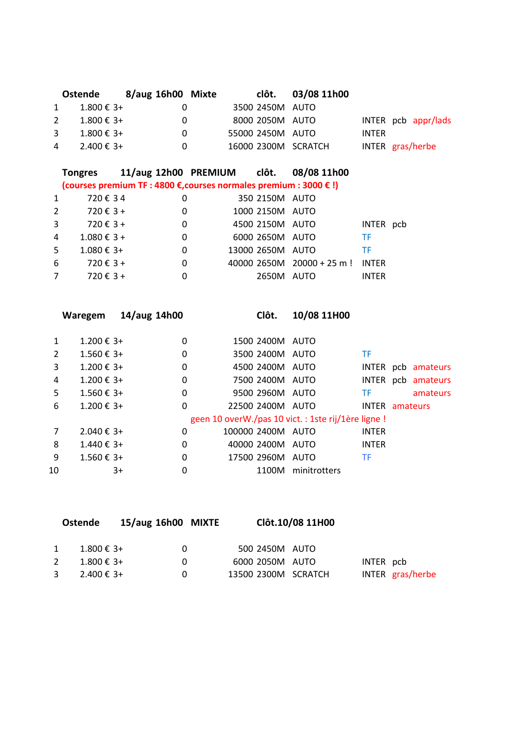|                | Ostende                 | 8/aug 16h00 Mixte |                     | clôt. 03/08 11h00 |              |                     |
|----------------|-------------------------|-------------------|---------------------|-------------------|--------------|---------------------|
| $\mathbf{1}$   | 1.800 € 3+              |                   | 3500 2450M AUTO     |                   |              |                     |
| $2^{\circ}$    | 1.800 € 3+              | 0                 | 8000 2050M AUTO     |                   |              | INTER pcb appr/lads |
| 3              | $1.800 \text{ } \in 3+$ | 0                 | 55000 2450M AUTO    |                   | <b>INTER</b> |                     |
| $\overline{4}$ | 2.400 € 3+              | 0                 | 16000 2300M SCRATCH |                   |              | INTER gras/herbe    |

|                | Tongres                 |   | 11/aug 12h00 PREMIUM clôt.                                         |                  | 08/08 11h00                  |              |     |
|----------------|-------------------------|---|--------------------------------------------------------------------|------------------|------------------------------|--------------|-----|
|                |                         |   | (courses premium TF : 4800 €, courses normales premium : 3000 € !) |                  |                              |              |     |
| 1              | 720€34                  | 0 |                                                                    | 350 2150M AUTO   |                              |              |     |
| $\overline{2}$ | 720 € $3 +$             | 0 |                                                                    | 1000 2150M AUTO  |                              |              |     |
| $\overline{3}$ | 720 € $3 +$             | 0 |                                                                    | 4500 2150M AUTO  |                              | INTER        | pcb |
| 4              | $1.080 \text{ € } 3 +$  | 0 |                                                                    | 6000 2650M AUTO  |                              | ТF           |     |
| 5              | $1.080 \text{ } \in 3+$ | 0 |                                                                    | 13000 2650M AUTO |                              | ТF           |     |
| 6              | 720 € $3 +$             | 0 |                                                                    |                  | 40000 2650M $20000 + 25$ m ! | <b>INTER</b> |     |
| 7              | 720 € $3 +$             | 0 |                                                                    | 2650M            | AUTO                         | <b>INTER</b> |     |
|                |                         |   |                                                                    |                  |                              |              |     |

**Waregem 14/aug 14h00 Clôt. 10/08 11H00**

|    | $1.200 \text{ } \in 3+$ | 0 | 1500 2400M AUTO                                     |              |                       |                    |
|----|-------------------------|---|-----------------------------------------------------|--------------|-----------------------|--------------------|
| 2  | $1.560 \text{ } \in 3+$ | 0 | 3500 2400M AUTO                                     |              | TF.                   |                    |
| 3  | $1.200 \text{ } \in 3+$ | 0 | 4500 2400M AUTO                                     |              |                       | INTER pcb amateurs |
| 4  | $1.200 \text{ } \in 3+$ | 0 | 7500 2400M AUTO                                     |              |                       | INTER pcb amateurs |
| 5. | $1.560 \text{ } \in 3+$ | 0 | 9500 2960M AUTO                                     |              | TF.                   | amateurs           |
| 6  | $1.200 \text{ } \in 3+$ | 0 | 22500 2400M AUTO                                    |              | <b>INTER</b> amateurs |                    |
|    |                         |   | geen 10 overW./pas 10 vict. : 1ste rij/1ère ligne ! |              |                       |                    |
|    | $2.040€3+$              | 0 | 100000 2400M AUTO                                   |              | <b>INTER</b>          |                    |
| 8  | $1.440 \t{£}$ 3+        | 0 | 40000 2400M AUTO                                    |              | <b>INTER</b>          |                    |
| 9  | $1.560 \text{ } \in 3+$ | 0 | 17500 2960M AUTO                                    |              | <b>TF</b>             |                    |
| 10 | $3+$                    | 0 | 1100M                                               | minitrotters |                       |                    |

|              | Ostende                 | 15/aug 16h00 MIXTE |  |                 | Clôt.10/08 11H00    |           |                  |
|--------------|-------------------------|--------------------|--|-----------------|---------------------|-----------|------------------|
| 1            | $1.800 \text{ } \in 3+$ | $\Omega$           |  | 500 2450M AUTO  |                     |           |                  |
| 2            | $1.800 \text{ } \in 3+$ | $\Omega$           |  | 6000 2050M AUTO |                     | INTER pcb |                  |
| $\mathbf{3}$ | $2.400 \text{ } \in 3+$ | $\Omega$           |  |                 | 13500 2300M SCRATCH |           | INTER gras/herbe |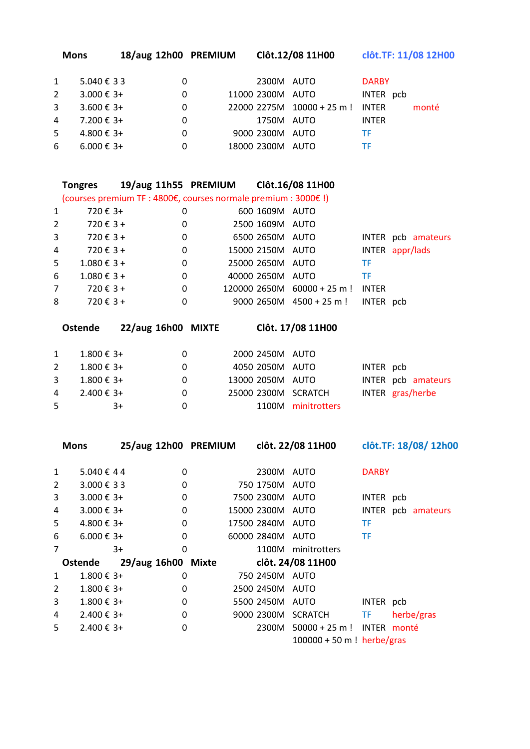| 18/aug 12h00 PREMIUM Clôt.12/08 11H00<br><b>Mons</b> |                         |                                                                 |                  | clôt.TF: 11/08 12H00              |              |                      |
|------------------------------------------------------|-------------------------|-----------------------------------------------------------------|------------------|-----------------------------------|--------------|----------------------|
|                                                      |                         |                                                                 |                  |                                   |              |                      |
| $\mathbf{1}$                                         | 5.040 € 33              | 0                                                               | 2300M AUTO       |                                   | <b>DARBY</b> |                      |
| $\overline{2}$                                       | 3.000 € 3+              | $\mathbf 0$                                                     | 11000 2300M AUTO |                                   | INTER pcb    |                      |
| 3                                                    | $3.600 \text{ € } 3+$   | $\mathbf 0$                                                     |                  | 22000 2275M 10000 + 25 m!         | <b>INTER</b> | monté                |
| 4                                                    | 7.200 € 3+              | 0                                                               | 1750M AUTO       |                                   | <b>INTER</b> |                      |
| 5                                                    | 4.800 € 3+              | $\mathbf 0$                                                     | 9000 2300M AUTO  |                                   | <b>TF</b>    |                      |
| 6                                                    | $6.000 \text{ } \in 3+$ | $\pmb{0}$                                                       | 18000 2300M AUTO |                                   | <b>TF</b>    |                      |
|                                                      |                         |                                                                 |                  |                                   |              |                      |
|                                                      | <b>Tongres</b>          | 19/aug 11h55 PREMIUM Clôt.16/08 11H00                           |                  |                                   |              |                      |
|                                                      |                         | (courses premium TF : 4800€, courses normale premium : 3000€ !) |                  |                                   |              |                      |
| $\mathbf{1}$                                         | 720€ 3+                 | 0                                                               | 600 1609M AUTO   |                                   |              |                      |
| $\overline{2}$                                       | $720 € 3 +$             | $\mathbf 0$                                                     | 2500 1609M AUTO  |                                   |              |                      |
| 3                                                    | $720 € 3 +$             | $\mathbf 0$                                                     | 6500 2650M AUTO  |                                   |              | INTER pcb amateurs   |
| 4                                                    | $720 \text{ } \in 3 +$  | $\pmb{0}$                                                       | 15000 2150M AUTO |                                   |              | INTER appr/lads      |
| 5                                                    | $1.080 \t{€} 3 +$       | $\pmb{0}$                                                       | 25000 2650M AUTO |                                   | <b>TF</b>    |                      |
| 6                                                    | $1.080 \t{€} 3 +$       | $\mathbf 0$                                                     | 40000 2650M AUTO |                                   | <b>TF</b>    |                      |
| $\overline{7}$                                       | $720 € 3 +$             | $\mathbf 0$                                                     |                  | 120000 2650M 60000 + 25 m ! INTER |              |                      |
| 8                                                    | 720€ 3+                 | $\mathbf 0$                                                     |                  | 9000 2650M $4500 + 25$ m !        | INTER pcb    |                      |
|                                                      | Ostende                 | 22/aug 16h00 MIXTE                                              |                  | Clôt. 17/08 11H00                 |              |                      |
|                                                      |                         |                                                                 |                  |                                   |              |                      |
| $\mathbf{1}$                                         | 1.800 € 3+              | 0                                                               | 2000 2450M AUTO  |                                   |              |                      |
| $\overline{2}$                                       | 1.800 € 3+              | $\mathbf 0$                                                     | 4050 2050M AUTO  |                                   | INTER pcb    |                      |
| 3                                                    | 1.800 € 3+              | 0                                                               | 13000 2050M AUTO |                                   |              | INTER pcb amateurs   |
| $\overline{a}$                                       | 2.400 € 3+              | 0                                                               |                  | 25000 2300M SCRATCH               |              | INTER gras/herbe     |
| 5                                                    | $3+$                    | $\mathbf 0$                                                     |                  | 1100M minitrotters                |              |                      |
|                                                      |                         |                                                                 |                  |                                   |              |                      |
|                                                      | <b>Mons</b>             | 25/aug 12h00 PREMIUM                                            |                  | clôt. 22/08 11H00                 |              | clôt.TF: 18/08/12h00 |
|                                                      |                         |                                                                 |                  |                                   |              |                      |
| $\mathbf{1}$                                         | 5.040 € 44              | 0                                                               | 2300M AUTO       |                                   | <b>DARBY</b> |                      |
| $\overline{2}$                                       | 3.000 € 33              | 0                                                               | 750 1750M AUTO   |                                   |              |                      |
| 3                                                    | 3.000 € 3+              | 0                                                               | 7500 2300M AUTO  |                                   | INTER pcb    |                      |
| 4                                                    | 3.000 € 3+              | 0                                                               | 15000 2300M AUTO |                                   |              | INTER pcb amateurs   |
| 5                                                    | 4.800 € 3+              | 0                                                               | 17500 2840M AUTO |                                   | <b>TF</b>    |                      |
| 6                                                    | $6.000 \text{ } \in 3+$ | 0                                                               | 60000 2840M AUTO |                                   | TF           |                      |
| 7                                                    | $3+$                    | 0                                                               |                  | 1100M minitrotters                |              |                      |
|                                                      | Ostende                 | 29/aug 16h00 Mixte                                              |                  | clôt. 24/08 11H00                 |              |                      |
| $\mathbf{1}$                                         | 1.800 € 3+              | 0                                                               | 750 2450M AUTO   |                                   |              |                      |
| 2                                                    | 1.800 € 3+              | 0                                                               | 2500 2450M AUTO  |                                   |              |                      |
| 3                                                    | 1.800 € 3+              | 0                                                               | 5500 2450M AUTO  |                                   | INTER pcb    |                      |
| 4                                                    | $2.400 \text{€ } 3+$    | 0                                                               |                  | 9000 2300M SCRATCH                | <b>TF</b>    | herbe/gras           |
| 5                                                    | 2.400 € 3+              | 0                                                               |                  | 2300M 50000 + 25 m ! INTER monté  |              |                      |
|                                                      |                         |                                                                 |                  | $100000 + 50$ m ! herbe/gras      |              |                      |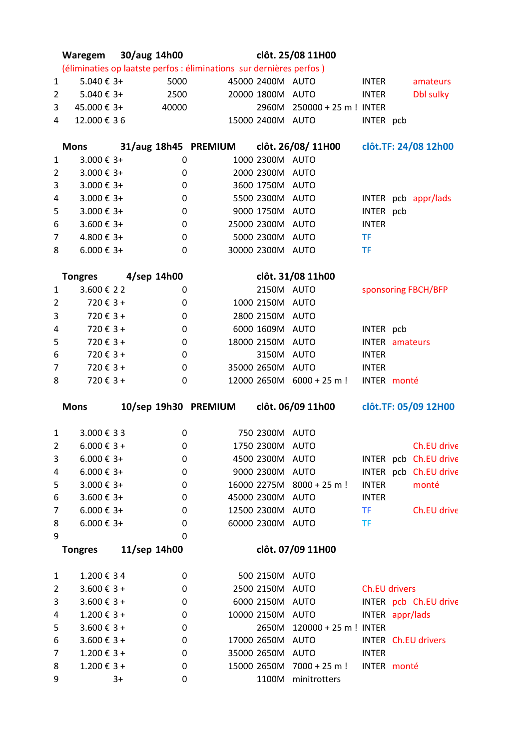|                |                          | Waregem 30/aug 14h00 |                                                                     |                  | clôt. 25/08 11H00           |               |                            |  |
|----------------|--------------------------|----------------------|---------------------------------------------------------------------|------------------|-----------------------------|---------------|----------------------------|--|
|                |                          |                      | (éliminaties op laatste perfos : éliminations sur dernières perfos) |                  |                             |               |                            |  |
| $\mathbf{1}$   | $5.040 \text{ } \in 3+$  | 5000                 |                                                                     | 45000 2400M AUTO |                             | <b>INTER</b>  | amateurs                   |  |
| $\mathbf{2}$   | $5.040 \text{ } \in 3+$  | 2500                 |                                                                     | 20000 1800M AUTO |                             | <b>INTER</b>  | Dbl sulky                  |  |
| 3              | 45.000 € 3+              | 40000                |                                                                     |                  | 2960M 250000 + 25 m ! INTER |               |                            |  |
| 4              | 12.000 € 36              |                      |                                                                     | 15000 2400M AUTO |                             | INTER pcb     |                            |  |
|                |                          |                      |                                                                     |                  |                             |               |                            |  |
|                |                          |                      | Mons 31/aug 18h45 PREMIUM clôt. 26/08/11H00                         |                  |                             |               | clôt.TF: 24/08 12h00       |  |
| $\mathbf{1}$   | $3.000 \text{€ } 3+$     | $\mathbf 0$          |                                                                     | 1000 2300M AUTO  |                             |               |                            |  |
| $\overline{2}$ | $3.000 \text{€ } 3+$     | 0                    |                                                                     | 2000 2300M AUTO  |                             |               |                            |  |
| 3              | $3.000 \text{€ } 3+$     | $\mathbf 0$          |                                                                     | 3600 1750M AUTO  |                             |               |                            |  |
| 4              | $3.000 \text{ € } 3+$    | 0                    |                                                                     | 5500 2300M AUTO  |                             |               | INTER pcb appr/lads        |  |
| 5              | $3.000 \text{€ } 3+$     | $\mathbf 0$          |                                                                     | 9000 1750M AUTO  |                             | INTER pcb     |                            |  |
| 6              | $3.600 \text{€ } 3+$     | 0                    |                                                                     | 25000 2300M AUTO |                             | <b>INTER</b>  |                            |  |
| $\overline{7}$ | $4.800 \text{€ } 3+$     | 0                    |                                                                     | 5000 2300M AUTO  |                             | TF.           |                            |  |
| 8              | $6.000 \text{ } \in 3+$  | 0                    |                                                                     | 30000 2300M AUTO |                             | <b>TF</b>     |                            |  |
|                |                          |                      |                                                                     |                  |                             |               |                            |  |
|                |                          | Tongres 4/sep 14h00  |                                                                     |                  | clôt. 31/08 11h00           |               |                            |  |
| $\mathbf{1}$   | 3.600 € 22               | $\mathbf{0}$         |                                                                     | 2150M AUTO       |                             |               | sponsoring FBCH/BFP        |  |
| $\overline{2}$ | 720€ 3+                  | $\mathbf 0$          |                                                                     | 1000 2150M AUTO  |                             |               |                            |  |
| 3              | 720€ 3+                  | $\mathbf 0$          |                                                                     | 2800 2150M AUTO  |                             |               |                            |  |
|                | 720€ 3+                  | $\mathbf 0$          |                                                                     | 6000 1609M AUTO  |                             |               |                            |  |
| 4<br>5         | $720 € 3 +$              | $\mathbf 0$          |                                                                     | 18000 2150M AUTO |                             | INTER pcb     | <b>INTER amateurs</b>      |  |
| 6              | $720 € 3 +$              | $\mathbf 0$          |                                                                     | 3150M AUTO       |                             | <b>INTER</b>  |                            |  |
| $\overline{7}$ |                          |                      |                                                                     | 35000 2650M AUTO |                             |               |                            |  |
|                | $720 € 3 +$              | $\mathbf 0$          |                                                                     |                  |                             | <b>INTER</b>  |                            |  |
| 8              | 720€ 3+                  | 0                    |                                                                     |                  | 12000 2650M 6000 + 25 m !   |               | INTER monté                |  |
|                |                          |                      |                                                                     |                  |                             |               |                            |  |
|                | <b>Mons</b>              |                      | 10/sep 19h30 PREMIUM clôt. 06/09 11h00                              |                  |                             |               | clôt.TF: 05/09 12H00       |  |
| $\mathbf{1}$   | 3.000 € 33               | 0                    |                                                                     | 750 2300M AUTO   |                             |               |                            |  |
| $2^{\circ}$    | $6.000 \text{ } \in 3 +$ | 0                    |                                                                     | 1750 2300M AUTO  |                             |               | Ch.EU drive                |  |
| 3              | $6.000 \text{ } \in 3+$  | 0                    |                                                                     | 4500 2300M AUTO  |                             |               | INTER pcb Ch.EU drive      |  |
| 4              | $6.000 \text{ } \in 3+$  | 0                    |                                                                     | 9000 2300M AUTO  |                             |               | INTER pcb Ch.EU drive      |  |
| 5              | 3.000 € 3+               | 0                    |                                                                     |                  | 16000 2275M 8000 + 25 m !   | <b>INTER</b>  | monté                      |  |
| 6              | 3.600 € 3+               | 0                    |                                                                     | 45000 2300M AUTO |                             | <b>INTER</b>  |                            |  |
| 7              | $6.000 \text{ } \in 3+$  | 0                    |                                                                     | 12500 2300M AUTO |                             | TF.           | Ch.EU drive                |  |
| 8              | $6.000 \text{ } \in 3+$  | 0                    |                                                                     | 60000 2300M AUTO |                             | TF.           |                            |  |
| 9              |                          | 0                    |                                                                     |                  |                             |               |                            |  |
|                | <b>Tongres</b>           | 11/sep 14h00         |                                                                     |                  | clôt. 07/09 11H00           |               |                            |  |
|                |                          |                      |                                                                     |                  |                             |               |                            |  |
| 1              | 1.200 € 34               | 0                    |                                                                     | 500 2150M AUTO   |                             |               |                            |  |
| 2              | $3.600 \text{ € } 3 +$   | 0                    |                                                                     | 2500 2150M AUTO  |                             | Ch.EU drivers |                            |  |
| 3              | $3.600 \text{ € } 3 +$   | 0                    |                                                                     | 6000 2150M AUTO  |                             |               | INTER pcb Ch.EU drive      |  |
| 4              | $1.200 \text{ € } 3 +$   | 0                    |                                                                     | 10000 2150M AUTO |                             |               | INTER appr/lads            |  |
| 5              | $3.600 \text{ € } 3 +$   | 0                    |                                                                     |                  | 2650M 120000 + 25 m ! INTER |               |                            |  |
| 6              | $3.600 \text{ € } 3 +$   | 0                    |                                                                     | 17000 2650M AUTO |                             |               | <b>INTER Ch.EU drivers</b> |  |
| 7              | $1.200 \text{ € } 3 +$   | 0                    |                                                                     | 35000 2650M AUTO |                             | <b>INTER</b>  |                            |  |
| 8              | $1.200 \text{ € } 3 +$   | 0                    |                                                                     |                  | 15000 2650M 7000 + 25 m !   |               | INTER monté                |  |
| 9              |                          |                      |                                                                     |                  | 1100M minitrotters          |               |                            |  |
|                | $3+$                     | 0                    |                                                                     |                  |                             |               |                            |  |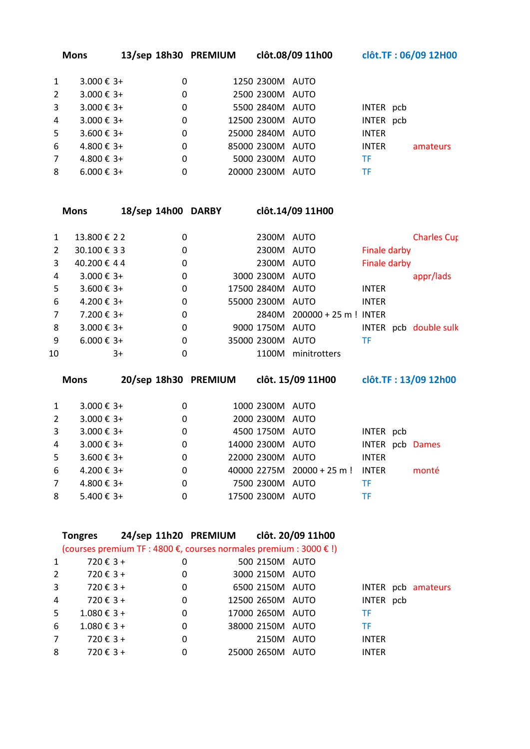|              | <b>Mons</b>             |   | 13/sep 18h30 PREMIUM |                  | clôt.08/09 11h00 |              | clôt.TF: 06/09 12H00 |
|--------------|-------------------------|---|----------------------|------------------|------------------|--------------|----------------------|
|              |                         |   |                      |                  |                  |              |                      |
| $\mathbf{1}$ | $3.000 \text{ } \in 3+$ | 0 |                      | 1250 2300M AUTO  |                  |              |                      |
| $2^{\circ}$  | $3.000 \text{€ } 3+$    | 0 |                      | 2500 2300M AUTO  |                  |              |                      |
| 3            | $3.000 \text{ } \in 3+$ | 0 |                      | 5500 2840M AUTO  |                  | INTER pcb    |                      |
| 4            | $3.000 \text{ } \in 3+$ | 0 |                      | 12500 2300M AUTO |                  | INTER pcb    |                      |
| 5            | $3.600 \text{ } \in 3+$ | 0 |                      | 25000 2840M AUTO |                  | <b>INTER</b> |                      |
| 6            | 4.800 € $3+$            | 0 |                      | 85000 2300M AUTO |                  | <b>INTER</b> | amateurs             |
| $7^{\circ}$  | $4.800 \text{€ } 3+$    | 0 |                      | 5000 2300M       | AUTO             | TF.          |                      |
| 8            | $6.000 \text{ } \in 3+$ | 0 |                      | 20000 2300M AUTO |                  | ТF           |                      |

|    | <b>Mons</b>             | 18/sep 14h00 DARBY |             |                  | clôt.14/09 11H00            |                       |                    |
|----|-------------------------|--------------------|-------------|------------------|-----------------------------|-----------------------|--------------------|
|    | 13.800 € 22             |                    | 0           | 2300M            | AUTO                        |                       | <b>Charles Cup</b> |
| 2  | 30.100 € 3 3            |                    | 0           | 2300M            | AUTO                        | Finale darby          |                    |
| 3  | 40.200€44               |                    | $\mathbf 0$ | 2300M AUTO       |                             | Finale darby          |                    |
| 4  | 3.000 $\epsilon$ 3+     |                    | 0           | 3000 2300M AUTO  |                             |                       | appr/lads          |
| 5  | $3.600 \text{€ } 3+$    |                    | 0           | 17500 2840M AUTO |                             | <b>INTER</b>          |                    |
| 6  | 4.200 € $3+$            |                    | 0           | 55000 2300M AUTO |                             | <b>INTER</b>          |                    |
| 7  | 7.200 € $3+$            |                    | $\mathbf 0$ |                  | 2840M 200000 + 25 m ! INTER |                       |                    |
| 8  | $3.000 \text{ } \in 3+$ |                    | 0           | 9000 1750M       | AUTO                        | INTER pcb double sulk |                    |
| 9  | $6.000 \text{ } \in 3+$ |                    | 0           | 35000 2300M      | AUTO                        | <b>TF</b>             |                    |
| 10 |                         | 3+                 | 0           | 1100M            | minitrotters                |                       |                    |

**Mons 20/sep 18h30 PREMIUM clôt. 15/09 11H00 clôt.TF : 13/09 12h00** 1 3.000 € 3+ 0 1000 2300M AUTO 2 3.000 € 3+ 0 2000 2300M AUTO 3 3.000 € 3+ 0 4500 1750M AUTO INTER pcb 4 3.000 € 3+ 0 14000 2300M AUTO INTER pcb Dames 3.600 € 3+ 0 22000 2300M AUTO INTER 4.200 € 3+ 0 40000 2275M 20000 + 25 m ! INTER monté 7 4.800 € 3+ 0 7500 2300M AUTO TF 8 5.400 € 3+ 0 17500 2300M AUTO TF

|  | <b>Tongres</b> |  |  | 24/ |  |
|--|----------------|--|--|-----|--|
|  |                |  |  |     |  |

**Tongres 24/sep 11h20 PREMIUM clôt. 20/09 11h00**

|              | (courses premium TF : 4800 €, courses normales premium : 3000 € !) |   |                  |                    |  |
|--------------|--------------------------------------------------------------------|---|------------------|--------------------|--|
| $\mathbf{1}$ | 720 € $3 +$                                                        | 0 | 500 2150M AUTO   |                    |  |
| $\mathbf{2}$ | 720 € 3 +                                                          | 0 | 3000 2150M AUTO  |                    |  |
| 3            | 720€3+                                                             | 0 | 6500 2150M AUTO  | INTER pcb amateurs |  |
| 4            | 720 € 3 +                                                          | 0 | 12500 2650M AUTO | INTER pcb          |  |
| 5            | $1.080 \text{ } \in 3 +$                                           | 0 | 17000 2650M AUTO | <b>TF</b>          |  |
| 6            | $1.080 \text{ } \in 3 +$                                           | 0 | 38000 2150M AUTO | <b>TF</b>          |  |
| $7^{\circ}$  | 720 € 3 +                                                          | 0 | 2150M AUTO       | <b>INTER</b>       |  |
| 8            | 720 € $3 +$                                                        | 0 | 25000 2650M AUTO | <b>INTER</b>       |  |
|              |                                                                    |   |                  |                    |  |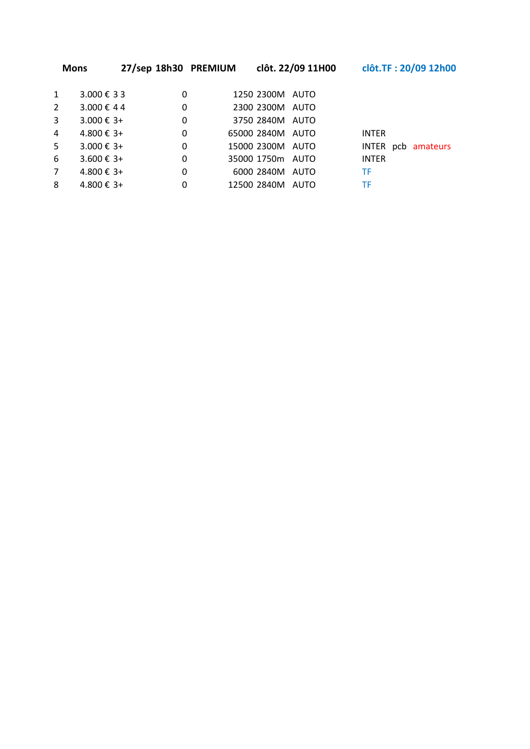|              | <b>Mons</b>             | 27/sep 18h30 PREMIUM |   |                  | clôt. 22/09 11H00 |              | clôt.TF: 20/09 12h00 |
|--------------|-------------------------|----------------------|---|------------------|-------------------|--------------|----------------------|
| $\mathbf{1}$ | $3.000 \text{ } \in 33$ |                      | 0 | 1250 2300M AUTO  |                   |              |                      |
| $\mathbf{2}$ | 3.000 € 44              |                      | 0 | 2300 2300M AUTO  |                   |              |                      |
| $\mathbf{3}$ | $3.000 \text{ } \in 3+$ |                      | 0 | 3750 2840M AUTO  |                   |              |                      |
| 4            | $4.800 \text{€ } 3+$    |                      | 0 | 65000 2840M AUTO |                   | <b>INTER</b> |                      |
| 5            | $3.000 \text{ } \in 3+$ |                      | 0 | 15000 2300M AUTO |                   |              | INTER pcb amateurs   |
| 6            | $3.600 \text{ } \in 3+$ |                      | 0 | 35000 1750m AUTO |                   | <b>INTER</b> |                      |
| $7^{\circ}$  | $4.800 \text{ } \in 3+$ |                      | 0 | 6000 2840M AUTO  |                   | TF           |                      |
| 8            | $4.800 \text{€ } 3+$    |                      | 0 | 12500 2840M AUTO |                   | ΤF           |                      |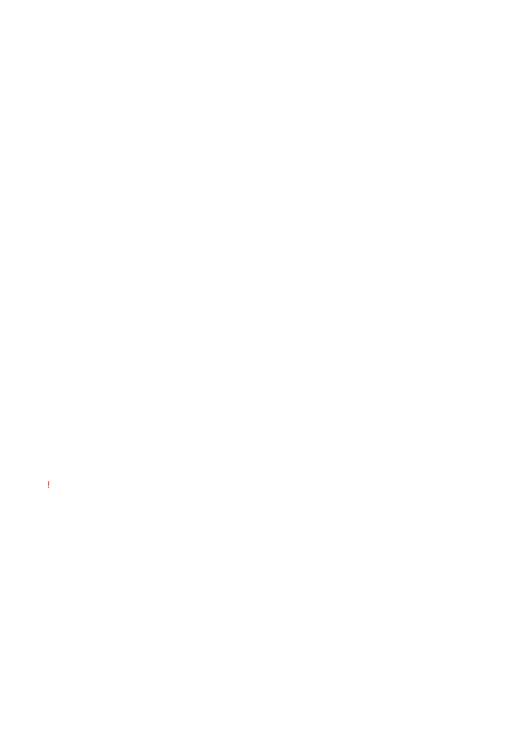$\bar{1}$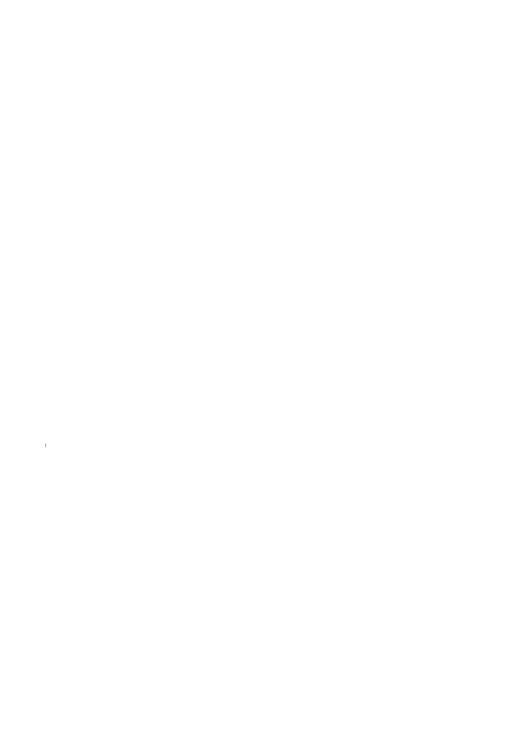$\mathbf{H}^{\text{max}}$  and  $\mathbf{H}^{\text{max}}$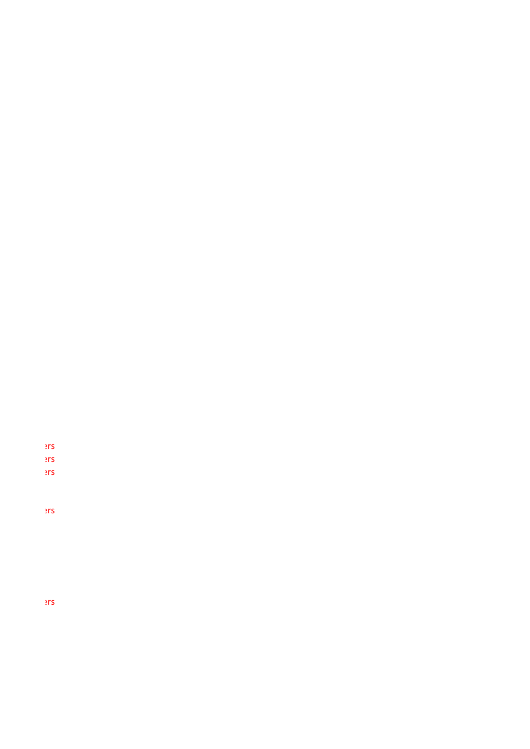ers

ers

 $2rs$ ers

ers